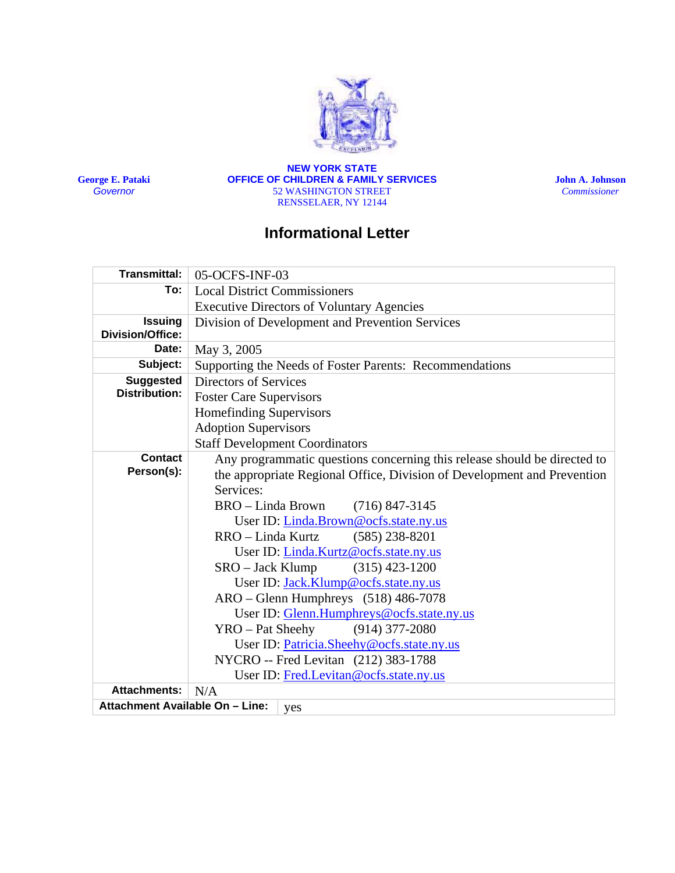

**George E. Pataki**  *Governor*

**NEW YORK STATE OFFICE OF CHILDREN & FAMILY SERVICES** 52 WASHINGTON STREET RENSSELAER, NY 12144

**John A. Johnson**  *Commissioner* 

# **Informational Letter**

| <b>Transmittal:</b>                    | 05-OCFS-INF-03                                                           |
|----------------------------------------|--------------------------------------------------------------------------|
| To:                                    | <b>Local District Commissioners</b>                                      |
|                                        | <b>Executive Directors of Voluntary Agencies</b>                         |
| <b>Issuing</b>                         | Division of Development and Prevention Services                          |
| Division/Office:                       |                                                                          |
| Date:                                  | May 3, 2005                                                              |
| Subject:                               | Supporting the Needs of Foster Parents: Recommendations                  |
| <b>Suggested</b>                       | <b>Directors of Services</b>                                             |
| <b>Distribution:</b>                   | <b>Foster Care Supervisors</b>                                           |
|                                        | Homefinding Supervisors                                                  |
|                                        | <b>Adoption Supervisors</b>                                              |
|                                        | <b>Staff Development Coordinators</b>                                    |
| <b>Contact</b>                         | Any programmatic questions concerning this release should be directed to |
| Person(s):                             | the appropriate Regional Office, Division of Development and Prevention  |
|                                        | Services:                                                                |
|                                        | BRO - Linda Brown<br>$(716)$ 847-3145                                    |
|                                        | User ID: Linda.Brown@ocfs.state.ny.us                                    |
|                                        | RRO - Linda Kurtz<br>$(585)$ 238-8201                                    |
|                                        | User ID: Linda.Kurtz@ocfs.state.ny.us                                    |
|                                        | $SRO - Jack Klump$<br>$(315)$ 423-1200                                   |
|                                        | User ID: Jack.Klump@ocfs.state.ny.us                                     |
|                                        | $ARO - Glenn$ Humphreys $(518)$ 486-7078                                 |
|                                        | User ID: Glenn.Humphreys@ocfs.state.ny.us                                |
|                                        | YRO – Pat Sheehy<br>$(914)$ 377-2080                                     |
|                                        | User ID: Patricia.Sheehy@ocfs.state.ny.us                                |
|                                        | NYCRO -- Fred Levitan (212) 383-1788                                     |
|                                        | User ID: Fred.Levitan@ocfs.state.ny.us                                   |
| <b>Attachments:</b>                    | N/A                                                                      |
| Attachment Available On - Line:<br>yes |                                                                          |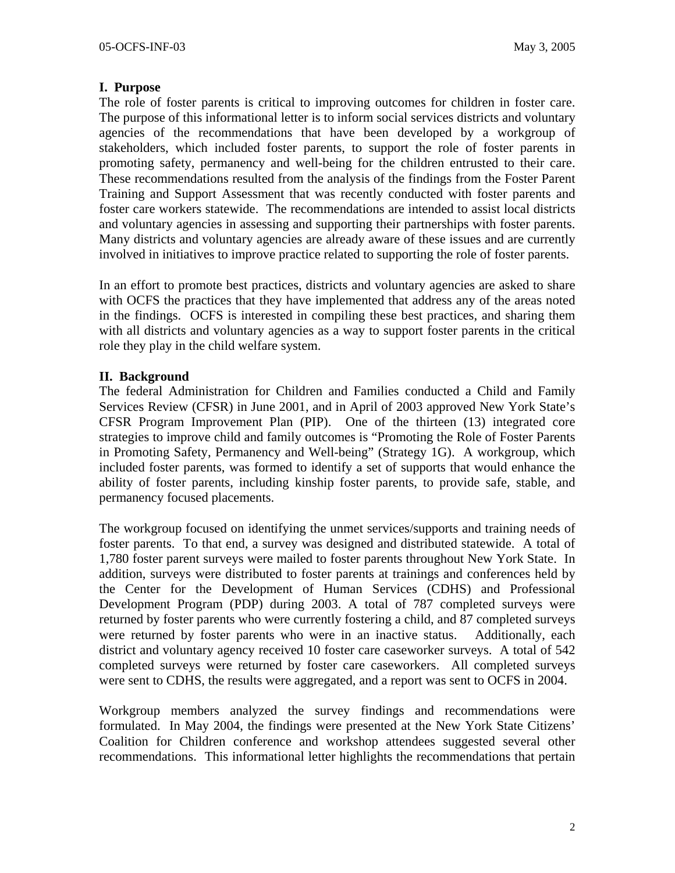## **I. Purpose**

The role of foster parents is critical to improving outcomes for children in foster care. The purpose of this informational letter is to inform social services districts and voluntary agencies of the recommendations that have been developed by a workgroup of stakeholders, which included foster parents, to support the role of foster parents in promoting safety, permanency and well-being for the children entrusted to their care. These recommendations resulted from the analysis of the findings from the Foster Parent Training and Support Assessment that was recently conducted with foster parents and foster care workers statewide. The recommendations are intended to assist local districts and voluntary agencies in assessing and supporting their partnerships with foster parents. Many districts and voluntary agencies are already aware of these issues and are currently involved in initiatives to improve practice related to supporting the role of foster parents.

In an effort to promote best practices, districts and voluntary agencies are asked to share with OCFS the practices that they have implemented that address any of the areas noted in the findings. OCFS is interested in compiling these best practices, and sharing them with all districts and voluntary agencies as a way to support foster parents in the critical role they play in the child welfare system.

## **II. Background**

The federal Administration for Children and Families conducted a Child and Family Services Review (CFSR) in June 2001, and in April of 2003 approved New York State's CFSR Program Improvement Plan (PIP). One of the thirteen (13) integrated core strategies to improve child and family outcomes is "Promoting the Role of Foster Parents in Promoting Safety, Permanency and Well-being" (Strategy 1G). A workgroup, which included foster parents, was formed to identify a set of supports that would enhance the ability of foster parents, including kinship foster parents, to provide safe, stable, and permanency focused placements.

The workgroup focused on identifying the unmet services/supports and training needs of foster parents. To that end, a survey was designed and distributed statewide. A total of 1,780 foster parent surveys were mailed to foster parents throughout New York State. In addition, surveys were distributed to foster parents at trainings and conferences held by the Center for the Development of Human Services (CDHS) and Professional Development Program (PDP) during 2003. A total of 787 completed surveys were returned by foster parents who were currently fostering a child, and 87 completed surveys were returned by foster parents who were in an inactive status. Additionally, each district and voluntary agency received 10 foster care caseworker surveys. A total of 542 completed surveys were returned by foster care caseworkers. All completed surveys were sent to CDHS, the results were aggregated, and a report was sent to OCFS in 2004.

Workgroup members analyzed the survey findings and recommendations were formulated. In May 2004, the findings were presented at the New York State Citizens' Coalition for Children conference and workshop attendees suggested several other recommendations. This informational letter highlights the recommendations that pertain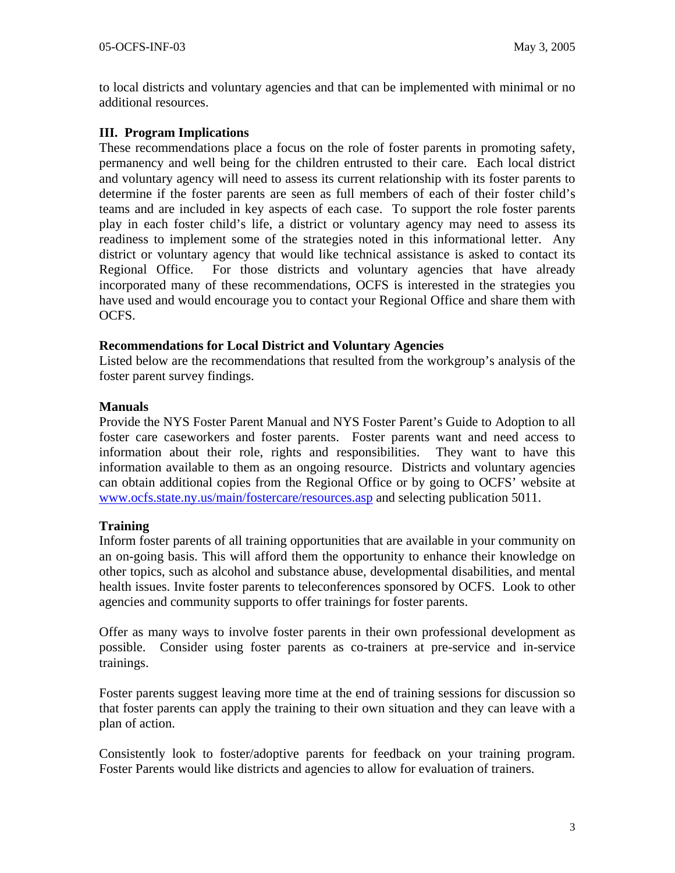to local districts and voluntary agencies and that can be implemented with minimal or no additional resources.

## **III. Program Implications**

These recommendations place a focus on the role of foster parents in promoting safety, permanency and well being for the children entrusted to their care. Each local district and voluntary agency will need to assess its current relationship with its foster parents to determine if the foster parents are seen as full members of each of their foster child's teams and are included in key aspects of each case. To support the role foster parents play in each foster child's life, a district or voluntary agency may need to assess its readiness to implement some of the strategies noted in this informational letter. Any district or voluntary agency that would like technical assistance is asked to contact its Regional Office. For those districts and voluntary agencies that have already incorporated many of these recommendations, OCFS is interested in the strategies you have used and would encourage you to contact your Regional Office and share them with OCFS.

#### **Recommendations for Local District and Voluntary Agencies**

Listed below are the recommendations that resulted from the workgroup's analysis of the foster parent survey findings.

## **Manuals**

Provide the NYS Foster Parent Manual and NYS Foster Parent's Guide to Adoption to all foster care caseworkers and foster parents. Foster parents want and need access to information about their role, rights and responsibilities. They want to have this information available to them as an ongoing resource. Districts and voluntary agencies can obtain additional copies from the Regional Office or by going to OCFS' website at [www.ocfs.state.ny.us/main/fostercare/resources.asp](http://www.ocfs.state.ny.us/main/fostercare/resources.asp) and selecting publication 5011.

#### **Training**

Inform foster parents of all training opportunities that are available in your community on an on-going basis. This will afford them the opportunity to enhance their knowledge on other topics, such as alcohol and substance abuse, developmental disabilities, and mental health issues. Invite foster parents to teleconferences sponsored by OCFS. Look to other agencies and community supports to offer trainings for foster parents.

Offer as many ways to involve foster parents in their own professional development as possible. Consider using foster parents as co-trainers at pre-service and in-service trainings.

Foster parents suggest leaving more time at the end of training sessions for discussion so that foster parents can apply the training to their own situation and they can leave with a plan of action.

Consistently look to foster/adoptive parents for feedback on your training program. Foster Parents would like districts and agencies to allow for evaluation of trainers.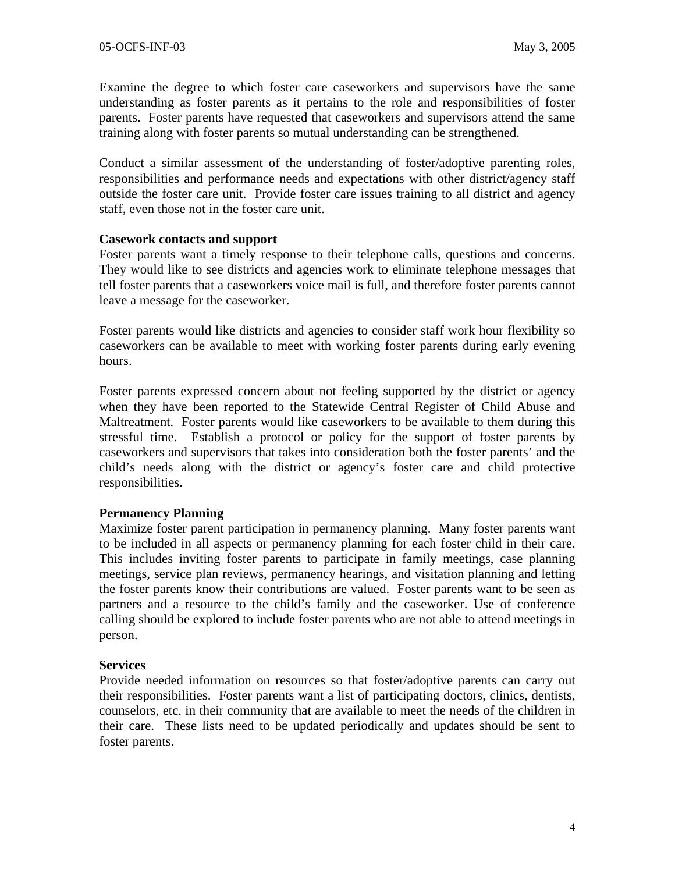Examine the degree to which foster care caseworkers and supervisors have the same understanding as foster parents as it pertains to the role and responsibilities of foster parents. Foster parents have requested that caseworkers and supervisors attend the same training along with foster parents so mutual understanding can be strengthened.

Conduct a similar assessment of the understanding of foster/adoptive parenting roles, responsibilities and performance needs and expectations with other district/agency staff outside the foster care unit. Provide foster care issues training to all district and agency staff, even those not in the foster care unit.

#### **Casework contacts and support**

Foster parents want a timely response to their telephone calls, questions and concerns. They would like to see districts and agencies work to eliminate telephone messages that tell foster parents that a caseworkers voice mail is full, and therefore foster parents cannot leave a message for the caseworker.

Foster parents would like districts and agencies to consider staff work hour flexibility so caseworkers can be available to meet with working foster parents during early evening hours.

Foster parents expressed concern about not feeling supported by the district or agency when they have been reported to the Statewide Central Register of Child Abuse and Maltreatment. Foster parents would like caseworkers to be available to them during this stressful time. Establish a protocol or policy for the support of foster parents by caseworkers and supervisors that takes into consideration both the foster parents' and the child's needs along with the district or agency's foster care and child protective responsibilities.

## **Permanency Planning**

Maximize foster parent participation in permanency planning. Many foster parents want to be included in all aspects or permanency planning for each foster child in their care. This includes inviting foster parents to participate in family meetings, case planning meetings, service plan reviews, permanency hearings, and visitation planning and letting the foster parents know their contributions are valued. Foster parents want to be seen as partners and a resource to the child's family and the caseworker. Use of conference calling should be explored to include foster parents who are not able to attend meetings in person.

#### **Services**

Provide needed information on resources so that foster/adoptive parents can carry out their responsibilities. Foster parents want a list of participating doctors, clinics, dentists, counselors, etc. in their community that are available to meet the needs of the children in their care. These lists need to be updated periodically and updates should be sent to foster parents.